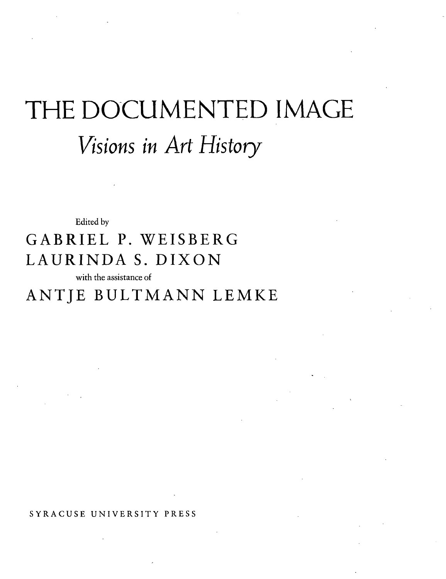## THE DOCUMENTED IMAGE *Visions in Art History*

Edited by

## GABRIEL P. WEISBERG LAURINDA S. DIXON

with the assistance of

## ANTJE BULTMANN LEMKE

**SYRACUSE UNIVERSITY PRESS**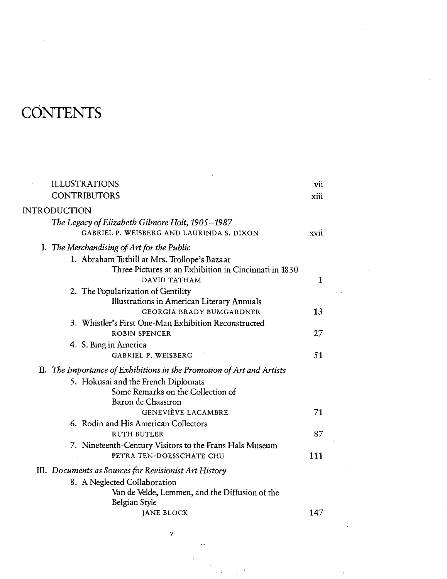## **CONTENTS**

| <b>ILLUSTRATIONS</b><br><b>CONTRIBUTORS</b>                                                                           | vii<br>xiii |
|-----------------------------------------------------------------------------------------------------------------------|-------------|
| INTRODUCTION                                                                                                          |             |
| The Legacy of Elizabeth Gilmore Holt, 1905–1987<br>GABRIEL P. WEISBERG AND LAURINDA S. DIXON                          | xvii        |
| I. The Merchandising of Art for the Public                                                                            |             |
| 1. Abraham Tuthill at Mrs. Trollope's Bazaar<br>Three Pictures at an Exhibition in Cincinnati in 1830<br>DAVID TATHAM | 1           |
| 2. The Popularization of Gentility                                                                                    |             |
| Illustrations in American Literary Annuals<br><b>GEORGIA BRADY BUMGARDNER</b>                                         | 13          |
| 3. Whistler's First One-Man Exhibition Reconstructed<br><b>ROBIN SPENCER</b>                                          | 27          |
| 4. S. Bing in America<br><b>GABRIEL P. WEISBERG</b>                                                                   | 51          |
| II. The Importance of Exhibitions in the Promotion of Art and Artists                                                 |             |
| 5. Hokusai and the French Diplomats<br>Some Remarks on the Collection of                                              |             |
| Baron de Chassiron<br><b>GENEVIÈVE LACAMBRE</b>                                                                       | 71          |
| 6. Rodin and His American Collectors                                                                                  |             |
| <b>RUTH BUTLER</b>                                                                                                    | 87          |
| 7. Nineteenth-Century Visitors to the Frans Hals Museum<br>PETRA TEN-DOESSCHATE CHU                                   | 111         |
| III. Documents as Sources for Revisionist Art History                                                                 |             |
| 8. A Neglected Collaboration<br>Van de Velde, Lemmen, and the Diffusion of the<br>Belgian Style                       |             |
| <b>JANE BLOCK</b>                                                                                                     | 147         |

V